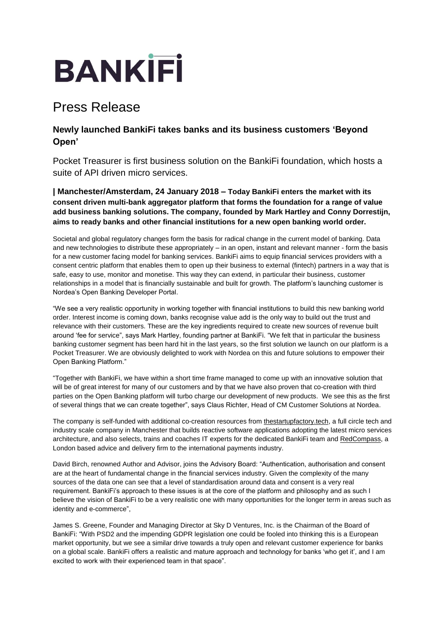# **BANKIFI**

## Press Release

### **Newly launched BankiFi takes banks and its business customers 'Beyond Open'**

Pocket Treasurer is first business solution on the BankiFi foundation, which hosts a suite of API driven micro services.

**| Manchester/Amsterdam, 24 January 2018 – Today BankiFi enters the market with its consent driven multi-bank aggregator platform that forms the foundation for a range of value add business banking solutions. The company, founded by Mark Hartley and Conny Dorrestijn, aims to ready banks and other financial institutions for a new open banking world order.**

Societal and global regulatory changes form the basis for radical change in the current model of banking. Data and new technologies to distribute these appropriately – in an open, instant and relevant manner - form the basis for a new customer facing model for banking services. BankiFi aims to equip financial services providers with a consent centric platform that enables them to open up their business to external (fintech) partners in a way that is safe, easy to use, monitor and monetise. This way they can extend, in particular their business, customer relationships in a model that is financially sustainable and built for growth. The platform's launching customer is Nordea's Open Banking Developer Portal.

"We see a very realistic opportunity in working together with financial institutions to build this new banking world order. Interest income is coming down, banks recognise value add is the only way to build out the trust and relevance with their customers. These are the key ingredients required to create new sources of revenue built around 'fee for service", says Mark Hartley, founding partner at BankiFi. "We felt that in particular the business banking customer segment has been hard hit in the last years, so the first solution we launch on our platform is a Pocket Treasurer. We are obviously delighted to work with Nordea on this and future solutions to empower their Open Banking Platform."

"Together with BankiFi, we have within a short time frame managed to come up with an innovative solution that will be of great interest for many of our customers and by that we have also proven that co-creation with third parties on the Open Banking platform will turbo charge our development of new products. We see this as the first of several things that we can create together", says Claus Richter, Head of CM Customer Solutions at Nordea.

The company is self-funded with additional co-creation resources from [thestartupfactory.tech,](https://thestartupfactory.tech/) a full circle tech and industry scale company in Manchester that builds reactive software applications adopting the latest micro services architecture, and also selects, trains and coaches IT experts for the dedicated BankiFi team and [RedCompass,](https://www.redcompass.com/) a London based advice and delivery firm to the international payments industry.

David Birch, renowned Author and Advisor, joins the Advisory Board: "Authentication, authorisation and consent are at the heart of fundamental change in the financial services industry. Given the complexity of the many sources of the data one can see that a level of standardisation around data and consent is a very real requirement. BankiFi's approach to these issues is at the core of the platform and philosophy and as such I believe the vision of BankiFi to be a very realistic one with many opportunities for the longer term in areas such as identity and e-commerce",

James S. Greene, Founder and Managing Director at Sky D Ventures, Inc. is the Chairman of the Board of BankiFi: "With PSD2 and the impending GDPR legislation one could be fooled into thinking this is a European market opportunity, but we see a similar drive towards a truly open and relevant customer experience for banks on a global scale. BankiFi offers a realistic and mature approach and technology for banks 'who get it', and I am excited to work with their experienced team in that space".